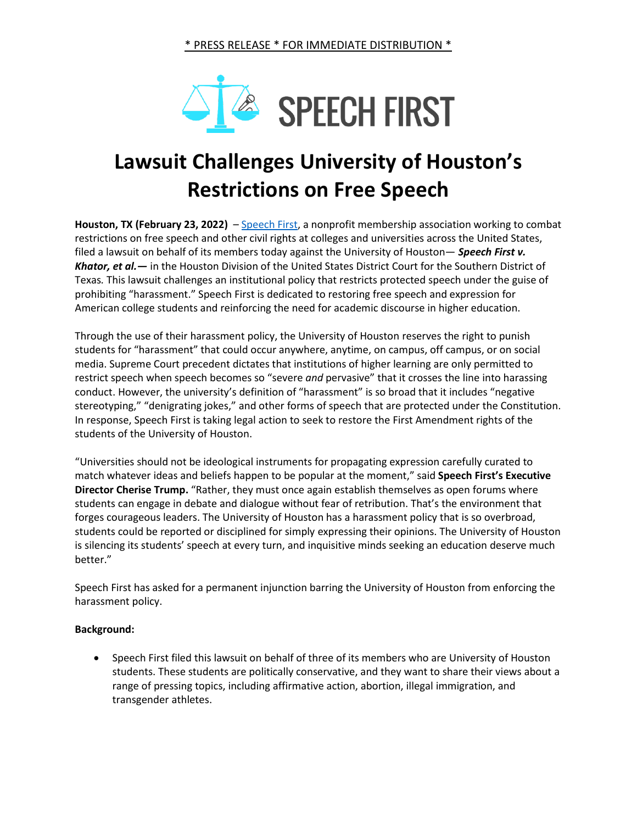

## **Lawsuit Challenges University of Houston's Restrictions on Free Speech**

**Houston, TX (February 23, 2022)** – [Speech First,](https://speechfirst.org/) a nonprofit membership association working to combat restrictions on free speech and other civil rights at colleges and universities across the United States, filed a lawsuit on behalf of its members today against the University of Houston— *Speech First v. Khator, et al.—* in the Houston Division of the United States District Court for the Southern District of Texas*.* This lawsuit challenges an institutional policy that restricts protected speech under the guise of prohibiting "harassment." Speech First is dedicated to restoring free speech and expression for American college students and reinforcing the need for academic discourse in higher education.

Through the use of their harassment policy, the University of Houston reserves the right to punish students for "harassment" that could occur anywhere, anytime, on campus, off campus, or on social media. Supreme Court precedent dictates that institutions of higher learning are only permitted to restrict speech when speech becomes so "severe *and* pervasive" that it crosses the line into harassing conduct. However, the university's definition of "harassment" is so broad that it includes "negative stereotyping," "denigrating jokes," and other forms of speech that are protected under the Constitution. In response, Speech First is taking legal action to seek to restore the First Amendment rights of the students of the University of Houston.

"Universities should not be ideological instruments for propagating expression carefully curated to match whatever ideas and beliefs happen to be popular at the moment," said **Speech First's Executive Director Cherise Trump.** "Rather, they must once again establish themselves as open forums where students can engage in debate and dialogue without fear of retribution. That's the environment that forges courageous leaders. The University of Houston has a harassment policy that is so overbroad, students could be reported or disciplined for simply expressing their opinions. The University of Houston is silencing its students' speech at every turn, and inquisitive minds seeking an education deserve much better."

Speech First has asked for a permanent injunction barring the University of Houston from enforcing the harassment policy.

## **Background:**

• Speech First filed this lawsuit on behalf of three of its members who are University of Houston students. These students are politically conservative, and they want to share their views about a range of pressing topics, including affirmative action, abortion, illegal immigration, and transgender athletes.